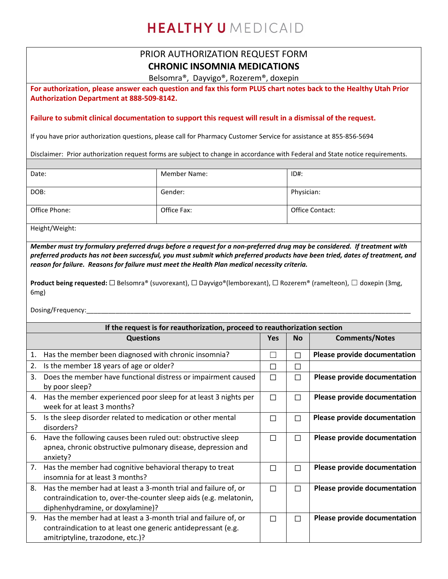## HEALTHY UMEDICAID

## PRIOR AUTHORIZATION REQUEST FORM **CHRONIC INSOMNIA MEDICATIONS**

Belsomra®, Dayvigo®, Rozerem®, doxepin

**For authorization, please answer each question and fax this form PLUS chart notes back to the Healthy Utah Prior Authorization Department at 888-509-8142.** 

**Failure to submit clinical documentation to support this request will result in a dismissal of the request.**

If you have prior authorization questions, please call for Pharmacy Customer Service for assistance at 855-856-5694

Disclaimer: Prior authorization request forms are subject to change in accordance with Federal and State notice requirements.

| Date:         | <b>Member Name:</b> | $ID#$ :         |
|---------------|---------------------|-----------------|
|               |                     |                 |
| DOB:          | Gender:             | Physician:      |
|               |                     |                 |
| Office Phone: | Office Fax:         | Office Contact: |
|               |                     |                 |

Height/Weight:

*Member must try formulary preferred drugs before a request for a non-preferred drug may be considered. If treatment with preferred products has not been successful, you must submit which preferred products have been tried, dates of treatment, and reason for failure. Reasons for failure must meet the Health Plan medical necessity criteria.*

**Product being requested:** ☐ Belsomra® (suvorexant), ☐ Dayvigo®(lemborexant), ☐ Rozerem® (ramelteon), ☐ doxepin (3mg, 6mg)

Dosing/Frequency:

| If the request is for reauthorization, proceed to reauthorization section |                                                                                                                                                                         |            |           |                                     |  |
|---------------------------------------------------------------------------|-------------------------------------------------------------------------------------------------------------------------------------------------------------------------|------------|-----------|-------------------------------------|--|
|                                                                           | <b>Questions</b>                                                                                                                                                        | <b>Yes</b> | <b>No</b> | <b>Comments/Notes</b>               |  |
| 1.                                                                        | Has the member been diagnosed with chronic insomnia?                                                                                                                    | Г          | П         | Please provide documentation        |  |
| 2.                                                                        | Is the member 18 years of age or older?                                                                                                                                 | П          | П         |                                     |  |
| 3.                                                                        | Does the member have functional distress or impairment caused<br>by poor sleep?                                                                                         | П          | П         | Please provide documentation        |  |
| 4.                                                                        | Has the member experienced poor sleep for at least 3 nights per<br>week for at least 3 months?                                                                          | П          | П         | Please provide documentation        |  |
| 5.                                                                        | Is the sleep disorder related to medication or other mental<br>disorders?                                                                                               | П          | П         | Please provide documentation        |  |
| 6.                                                                        | Have the following causes been ruled out: obstructive sleep<br>apnea, chronic obstructive pulmonary disease, depression and<br>anxiety?                                 | П          | П         | Please provide documentation        |  |
|                                                                           | 7. Has the member had cognitive behavioral therapy to treat<br>insomnia for at least 3 months?                                                                          | П          | П         | Please provide documentation        |  |
| 8.                                                                        | Has the member had at least a 3-month trial and failure of, or<br>contraindication to, over-the-counter sleep aids (e.g. melatonin,<br>diphenhydramine, or doxylamine)? | П          | П         | Please provide documentation        |  |
| 9.                                                                        | Has the member had at least a 3-month trial and failure of, or<br>contraindication to at least one generic antidepressant (e.g.<br>amitriptyline, trazodone, etc.)?     | П          | П         | <b>Please provide documentation</b> |  |